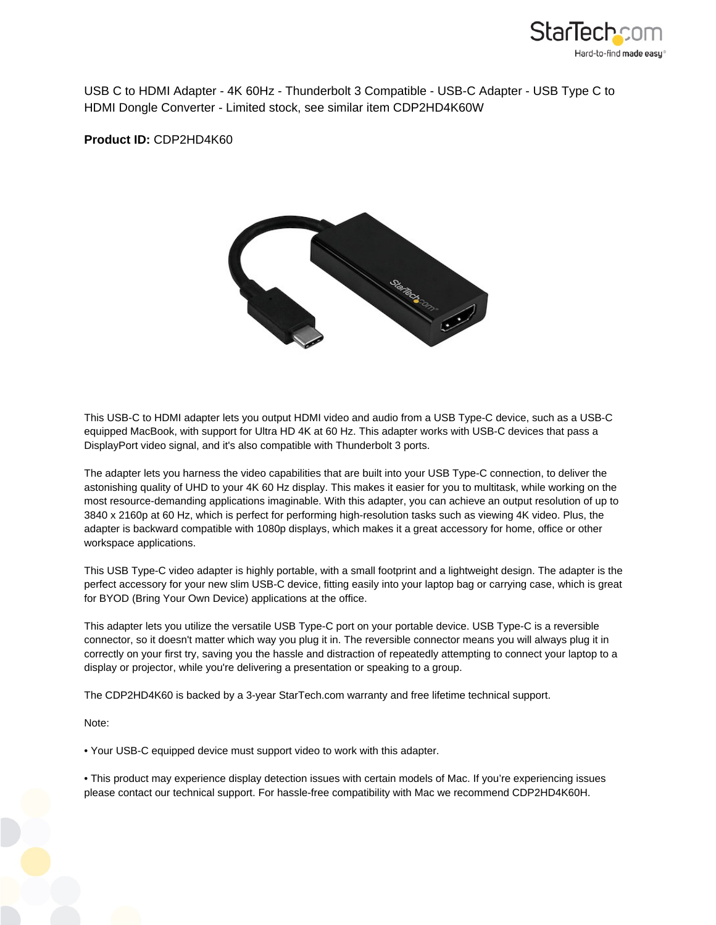

USB C to HDMI Adapter - 4K 60Hz - Thunderbolt 3 Compatible - USB-C Adapter - USB Type C to HDMI Dongle Converter - Limited stock, see similar item CDP2HD4K60W

**Product ID:** CDP2HD4K60



This USB-C to HDMI adapter lets you output HDMI video and audio from a USB Type-C device, such as a USB-C equipped MacBook, with support for Ultra HD 4K at 60 Hz. This adapter works with USB-C devices that pass a DisplayPort video signal, and it's also compatible with Thunderbolt 3 ports.

The adapter lets you harness the video capabilities that are built into your USB Type-C connection, to deliver the astonishing quality of UHD to your 4K 60 Hz display. This makes it easier for you to multitask, while working on the most resource-demanding applications imaginable. With this adapter, you can achieve an output resolution of up to 3840 x 2160p at 60 Hz, which is perfect for performing high-resolution tasks such as viewing 4K video. Plus, the adapter is backward compatible with 1080p displays, which makes it a great accessory for home, office or other workspace applications.

This USB Type-C video adapter is highly portable, with a small footprint and a lightweight design. The adapter is the perfect accessory for your new slim USB-C device, fitting easily into your laptop bag or carrying case, which is great for BYOD (Bring Your Own Device) applications at the office.

This adapter lets you utilize the versatile USB Type-C port on your portable device. USB Type-C is a reversible connector, so it doesn't matter which way you plug it in. The reversible connector means you will always plug it in correctly on your first try, saving you the hassle and distraction of repeatedly attempting to connect your laptop to a display or projector, while you're delivering a presentation or speaking to a group.

The CDP2HD4K60 is backed by a 3-year StarTech.com warranty and free lifetime technical support.

Note:

• Your USB-C equipped device must support video to work with this adapter.

• This product may experience display detection issues with certain models of Mac. If you're experiencing issues please contact our technical support. For hassle-free compatibility with Mac we recommend CDP2HD4K60H.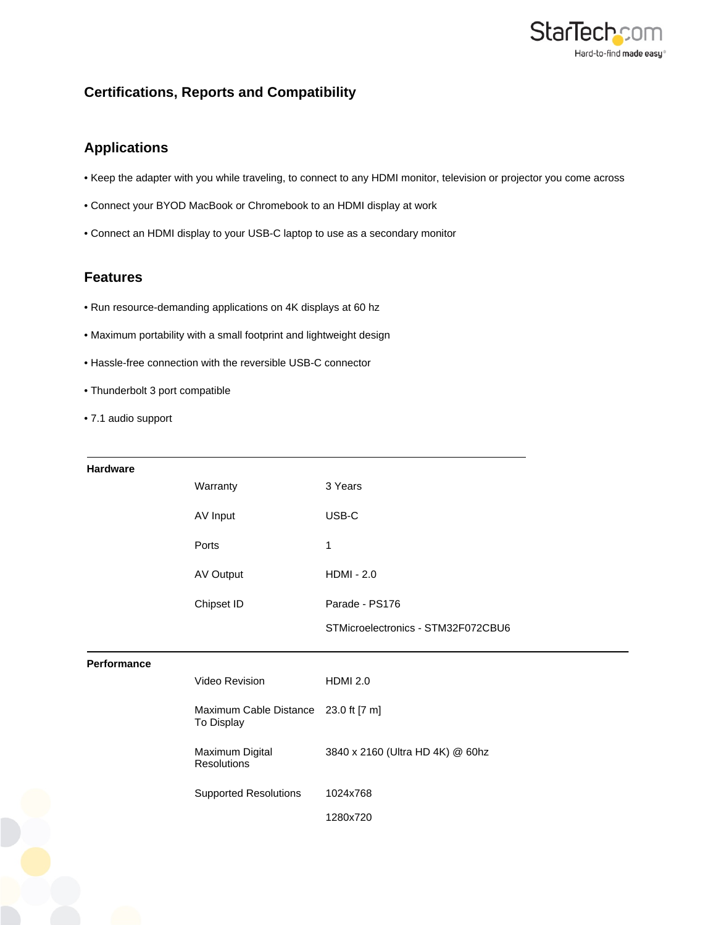

## **Certifications, Reports and Compatibility**

## **Applications**

- Keep the adapter with you while traveling, to connect to any HDMI monitor, television or projector you come across
- Connect your BYOD MacBook or Chromebook to an HDMI display at work
- Connect an HDMI display to your USB-C laptop to use as a secondary monitor

## **Features**

- Run resource-demanding applications on 4K displays at 60 hz
- Maximum portability with a small footprint and lightweight design
- Hassle-free connection with the reversible USB-C connector
- Thunderbolt 3 port compatible
- 7.1 audio support

| <b>Hardware</b> |                                                    |                                    |
|-----------------|----------------------------------------------------|------------------------------------|
|                 | Warranty                                           | 3 Years                            |
|                 | AV Input                                           | USB-C                              |
|                 | Ports                                              | 1                                  |
|                 | AV Output                                          | <b>HDMI - 2.0</b>                  |
|                 | Chipset ID                                         | Parade - PS176                     |
|                 |                                                    | STMicroelectronics - STM32F072CBU6 |
| Performance     |                                                    |                                    |
|                 | Video Revision                                     | <b>HDMI 2.0</b>                    |
|                 | Maximum Cable Distance 23.0 ft [7 m]<br>To Display |                                    |
|                 | Maximum Digital<br><b>Resolutions</b>              | 3840 x 2160 (Ultra HD 4K) @ 60hz   |
|                 | <b>Supported Resolutions</b>                       | 1024x768                           |
|                 |                                                    |                                    |
|                 |                                                    | 1280x720                           |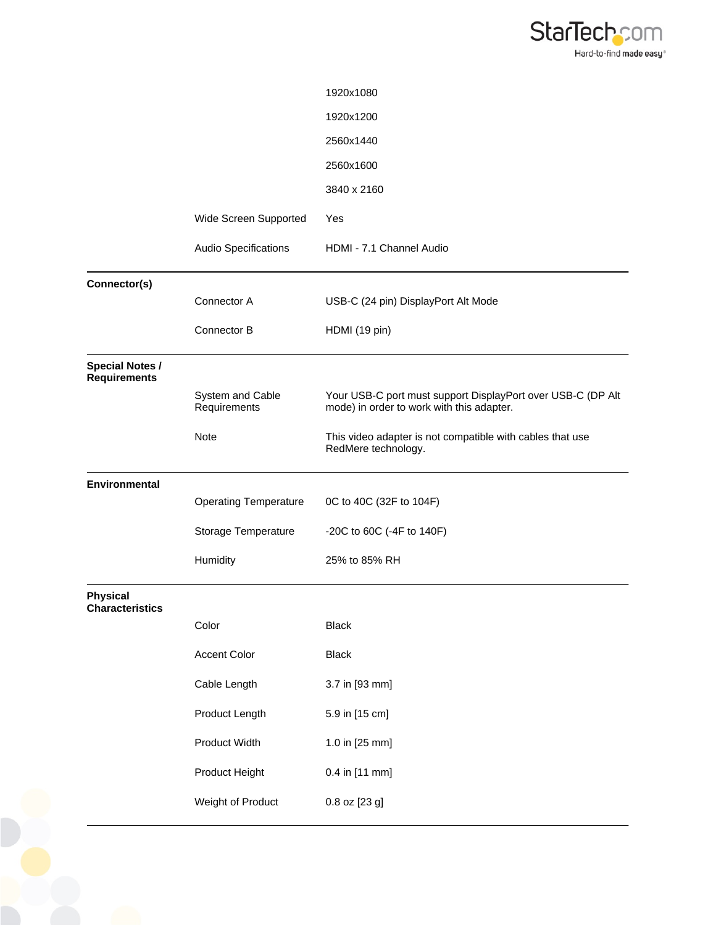

|                                               |                                  | 1920x1080                                                                                                |
|-----------------------------------------------|----------------------------------|----------------------------------------------------------------------------------------------------------|
|                                               |                                  | 1920x1200                                                                                                |
|                                               |                                  | 2560x1440                                                                                                |
|                                               |                                  | 2560x1600                                                                                                |
|                                               |                                  | 3840 x 2160                                                                                              |
|                                               | Wide Screen Supported            | Yes                                                                                                      |
|                                               | Audio Specifications             | HDMI - 7.1 Channel Audio                                                                                 |
| Connector(s)                                  |                                  |                                                                                                          |
|                                               | Connector A                      | USB-C (24 pin) DisplayPort Alt Mode                                                                      |
|                                               | Connector B                      | HDMI (19 pin)                                                                                            |
| <b>Special Notes /</b><br><b>Requirements</b> |                                  |                                                                                                          |
|                                               | System and Cable<br>Requirements | Your USB-C port must support DisplayPort over USB-C (DP Alt<br>mode) in order to work with this adapter. |
|                                               | Note                             | This video adapter is not compatible with cables that use<br>RedMere technology.                         |
| Environmental                                 |                                  |                                                                                                          |
|                                               | <b>Operating Temperature</b>     | 0C to 40C (32F to 104F)                                                                                  |
|                                               | Storage Temperature              | -20C to 60C (-4F to 140F)                                                                                |
|                                               | Humidity                         | 25% to 85% RH                                                                                            |
| <b>Physical</b><br><b>Characteristics</b>     |                                  |                                                                                                          |
|                                               | Color                            | <b>Black</b>                                                                                             |
|                                               | <b>Accent Color</b>              | <b>Black</b>                                                                                             |
|                                               | Cable Length                     | 3.7 in [93 mm]                                                                                           |
|                                               | Product Length                   | 5.9 in [15 cm]                                                                                           |
|                                               | Product Width                    | 1.0 in [25 mm]                                                                                           |
|                                               | Product Height                   | 0.4 in [11 mm]                                                                                           |
|                                               | Weight of Product                | 0.8 oz [23 g]                                                                                            |